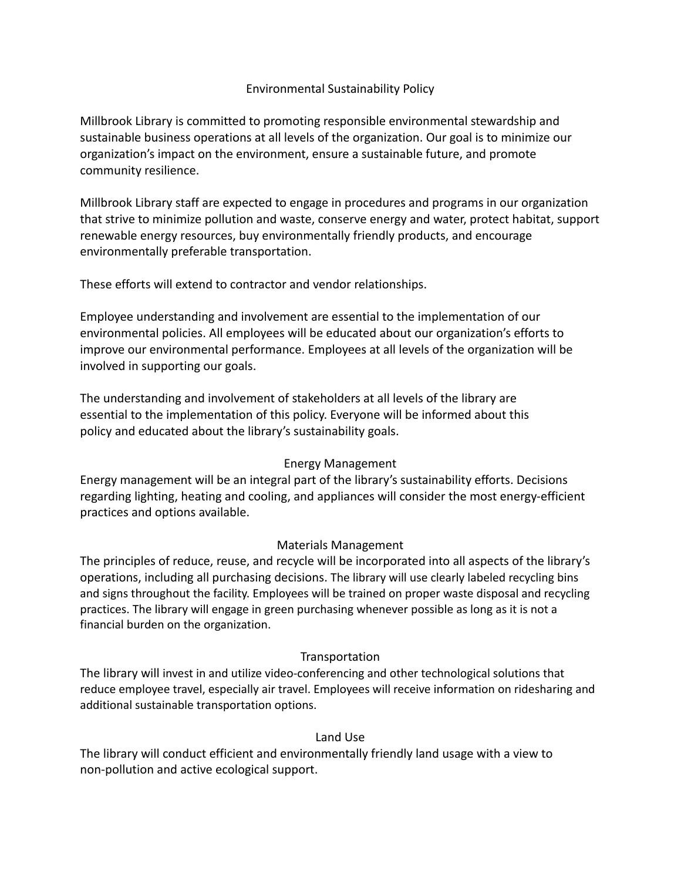#### Environmental Sustainability Policy

Millbrook Library is committed to promoting responsible environmental stewardship and sustainable business operations at all levels of the organization. Our goal is to minimize our organization's impact on the environment, ensure a sustainable future, and promote community resilience.

Millbrook Library staff are expected to engage in procedures and programs in our organization that strive to minimize pollution and waste, conserve energy and water, protect habitat, support renewable energy resources, buy environmentally friendly products, and encourage environmentally preferable transportation.

These efforts will extend to contractor and vendor relationships.

Employee understanding and involvement are essential to the implementation of our environmental policies. All employees will be educated about our organization's efforts to improve our environmental performance. Employees at all levels of the organization will be involved in supporting our goals.

The understanding and involvement of stakeholders at all levels of the library are essential to the implementation of this policy. Everyone will be informed about this policy and educated about the library's sustainability goals.

## Energy Management

Energy management will be an integral part of the library's sustainability efforts. Decisions regarding lighting, heating and cooling, and appliances will consider the most energy-efficient practices and options available.

## Materials Management

The principles of reduce, reuse, and recycle will be incorporated into all aspects of the library's operations, including all purchasing decisions. The library will use clearly labeled recycling bins and signs throughout the facility. Employees will be trained on proper waste disposal and recycling practices. The library will engage in green purchasing whenever possible as long as it is not a financial burden on the organization.

## Transportation

The library will invest in and utilize video-conferencing and other technological solutions that reduce employee travel, especially air travel. Employees will receive information on ridesharing and additional sustainable transportation options.

#### Land Use

The library will conduct efficient and environmentally friendly land usage with a view to non-pollution and active ecological support.